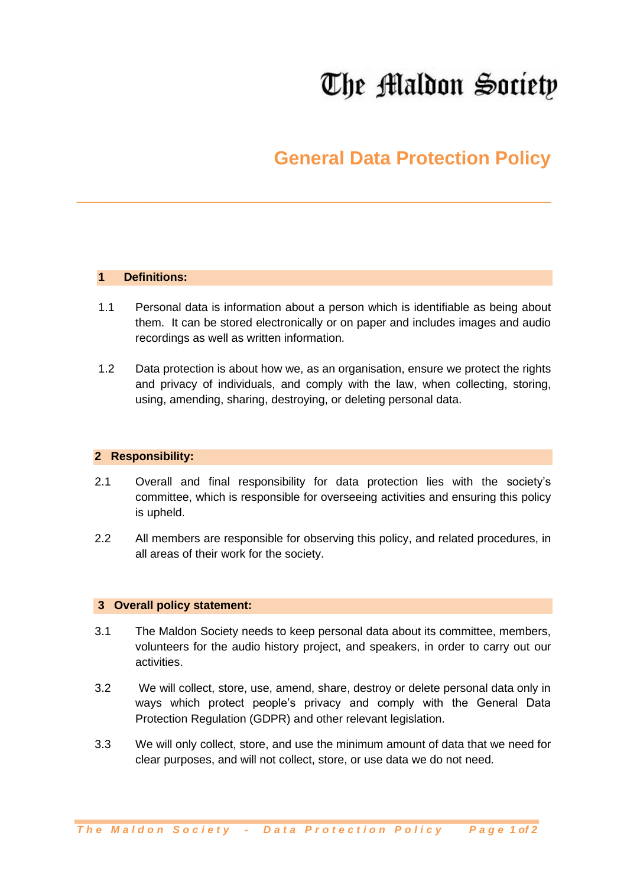# The Maldon Society

## **General Data Protection Policy**

#### **1 Definitions:**

1.1 Personal data is information about a person which is identifiable as being about them. It can be stored electronically or on paper and includes images and audio recordings as well as written information.

**\_\_\_\_\_\_\_\_\_\_\_\_\_\_\_\_\_\_\_\_\_\_\_\_\_\_\_\_\_\_\_\_\_\_\_\_\_\_\_\_\_\_\_\_\_**

1.2 Data protection is about how we, as an organisation, ensure we protect the rights and privacy of individuals, and comply with the law, when collecting, storing, using, amending, sharing, destroying, or deleting personal data.

#### **2 Responsibility:**

- 2.1 Overall and final responsibility for data protection lies with the society's committee, which is responsible for overseeing activities and ensuring this policy is upheld.
- 2.2 All members are responsible for observing this policy, and related procedures, in all areas of their work for the society.

#### **3 Overall policy statement:**

- 3.1 The Maldon Society needs to keep personal data about its committee, members, volunteers for the audio history project, and speakers, in order to carry out our activities.
- 3.2 We will collect, store, use, amend, share, destroy or delete personal data only in ways which protect people's privacy and comply with the General Data Protection Regulation (GDPR) and other relevant legislation.
- 3.3 We will only collect, store, and use the minimum amount of data that we need for clear purposes, and will not collect, store, or use data we do not need.